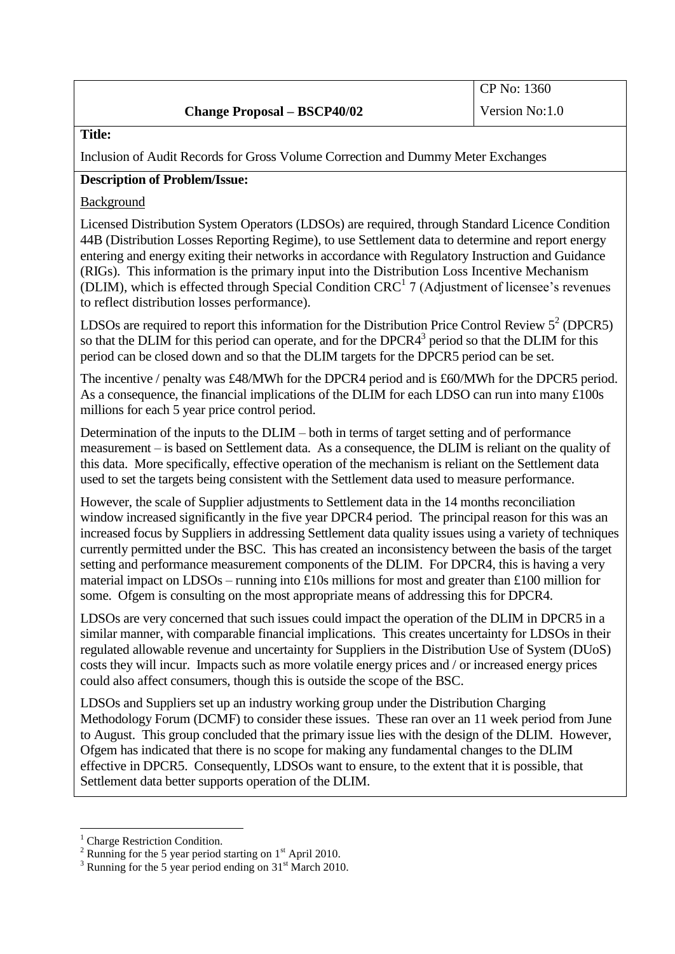# **Change Proposal – BSCP40/02**

**Title:**

Inclusion of Audit Records for Gross Volume Correction and Dummy Meter Exchanges

# **Description of Problem/Issue:**

Background

Licensed Distribution System Operators (LDSOs) are required, through Standard Licence Condition 44B (Distribution Losses Reporting Regime), to use Settlement data to determine and report energy entering and energy exiting their networks in accordance with Regulatory Instruction and Guidance (RIGs). This information is the primary input into the Distribution Loss Incentive Mechanism (DLIM), which is effected through Special Condition CRC<sup>1</sup> 7 (Adjustment of licensee's revenues to reflect distribution losses performance).

LDSOs are required to report this information for the Distribution Price Control Review  $5^2$  (DPCR5) so that the DLIM for this period can operate, and for the DPCR $4<sup>3</sup>$  period so that the DLIM for this period can be closed down and so that the DLIM targets for the DPCR5 period can be set.

The incentive / penalty was £48/MWh for the DPCR4 period and is £60/MWh for the DPCR5 period. As a consequence, the financial implications of the DLIM for each LDSO can run into many £100s millions for each 5 year price control period.

Determination of the inputs to the DLIM – both in terms of target setting and of performance measurement – is based on Settlement data. As a consequence, the DLIM is reliant on the quality of this data. More specifically, effective operation of the mechanism is reliant on the Settlement data used to set the targets being consistent with the Settlement data used to measure performance.

However, the scale of Supplier adjustments to Settlement data in the 14 months reconciliation window increased significantly in the five year DPCR4 period. The principal reason for this was an increased focus by Suppliers in addressing Settlement data quality issues using a variety of techniques currently permitted under the BSC. This has created an inconsistency between the basis of the target setting and performance measurement components of the DLIM. For DPCR4, this is having a very material impact on LDSOs – running into £10s millions for most and greater than £100 million for some. Ofgem is consulting on the most appropriate means of addressing this for DPCR4.

LDSOs are very concerned that such issues could impact the operation of the DLIM in DPCR5 in a similar manner, with comparable financial implications. This creates uncertainty for LDSOs in their regulated allowable revenue and uncertainty for Suppliers in the Distribution Use of System (DUoS) costs they will incur. Impacts such as more volatile energy prices and / or increased energy prices could also affect consumers, though this is outside the scope of the BSC.

LDSOs and Suppliers set up an industry working group under the Distribution Charging Methodology Forum (DCMF) to consider these issues. These ran over an 11 week period from June to August. This group concluded that the primary issue lies with the design of the DLIM. However, Ofgem has indicated that there is no scope for making any fundamental changes to the DLIM effective in DPCR5. Consequently, LDSOs want to ensure, to the extent that it is possible, that Settlement data better supports operation of the DLIM.

 $\overline{a}$ 

<sup>&</sup>lt;sup>1</sup> Charge Restriction Condition.

 $2$  Running for the 5 year period starting on  $1<sup>st</sup>$  April 2010.

 $3$  Running for the 5 year period ending on 31<sup>st</sup> March 2010.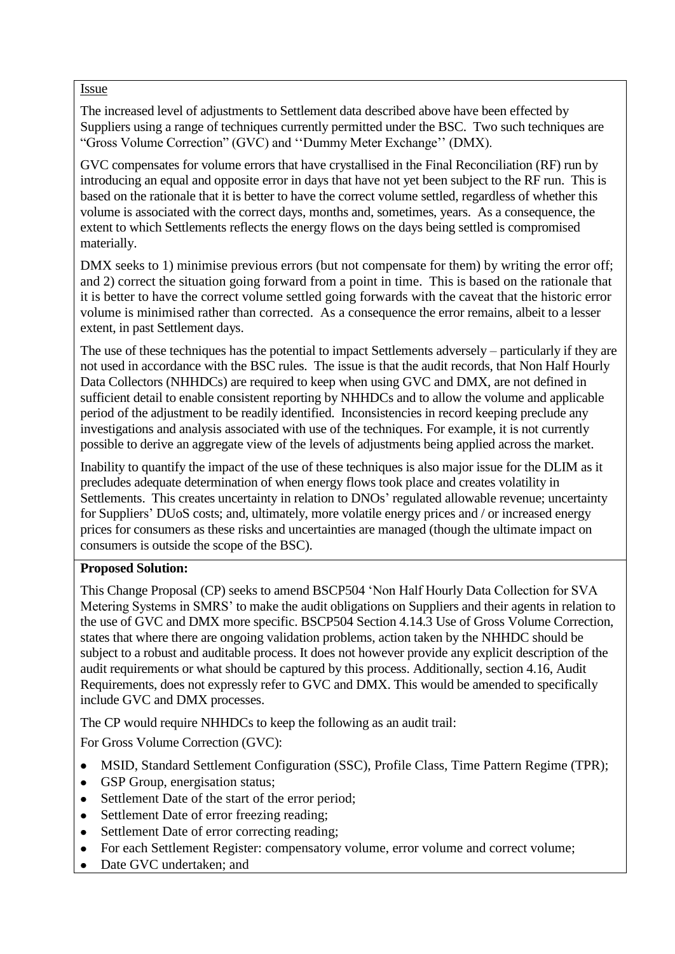#### Issue

The increased level of adjustments to Settlement data described above have been effected by Suppliers using a range of techniques currently permitted under the BSC. Two such techniques are "Gross Volume Correction" (GVC) and ""Dummy Meter Exchange"" (DMX).

GVC compensates for volume errors that have crystallised in the Final Reconciliation (RF) run by introducing an equal and opposite error in days that have not yet been subject to the RF run. This is based on the rationale that it is better to have the correct volume settled, regardless of whether this volume is associated with the correct days, months and, sometimes, years. As a consequence, the extent to which Settlements reflects the energy flows on the days being settled is compromised materially.

DMX seeks to 1) minimise previous errors (but not compensate for them) by writing the error off; and 2) correct the situation going forward from a point in time. This is based on the rationale that it is better to have the correct volume settled going forwards with the caveat that the historic error volume is minimised rather than corrected. As a consequence the error remains, albeit to a lesser extent, in past Settlement days.

The use of these techniques has the potential to impact Settlements adversely – particularly if they are not used in accordance with the BSC rules. The issue is that the audit records, that Non Half Hourly Data Collectors (NHHDCs) are required to keep when using GVC and DMX, are not defined in sufficient detail to enable consistent reporting by NHHDCs and to allow the volume and applicable period of the adjustment to be readily identified. Inconsistencies in record keeping preclude any investigations and analysis associated with use of the techniques. For example, it is not currently possible to derive an aggregate view of the levels of adjustments being applied across the market.

Inability to quantify the impact of the use of these techniques is also major issue for the DLIM as it precludes adequate determination of when energy flows took place and creates volatility in Settlements. This creates uncertainty in relation to DNOs' regulated allowable revenue; uncertainty for Suppliers' DUoS costs; and, ultimately, more volatile energy prices and / or increased energy prices for consumers as these risks and uncertainties are managed (though the ultimate impact on consumers is outside the scope of the BSC).

# **Proposed Solution:**

This Change Proposal (CP) seeks to amend BSCP504 "Non Half Hourly Data Collection for SVA Metering Systems in SMRS" to make the audit obligations on Suppliers and their agents in relation to the use of GVC and DMX more specific. BSCP504 Section 4.14.3 Use of Gross Volume Correction, states that where there are ongoing validation problems, action taken by the NHHDC should be subject to a robust and auditable process. It does not however provide any explicit description of the audit requirements or what should be captured by this process. Additionally, section 4.16, Audit Requirements, does not expressly refer to GVC and DMX. This would be amended to specifically include GVC and DMX processes.

The CP would require NHHDCs to keep the following as an audit trail:

For Gross Volume Correction (GVC):

- MSID, Standard Settlement Configuration (SSC), Profile Class, Time Pattern Regime (TPR);  $\bullet$
- GSP Group, energisation status;  $\bullet$
- Settlement Date of the start of the error period;  $\bullet$
- Settlement Date of error freezing reading;  $\bullet$
- Settlement Date of error correcting reading;  $\bullet$
- For each Settlement Register: compensatory volume, error volume and correct volume;  $\bullet$
- Date GVC undertaken; and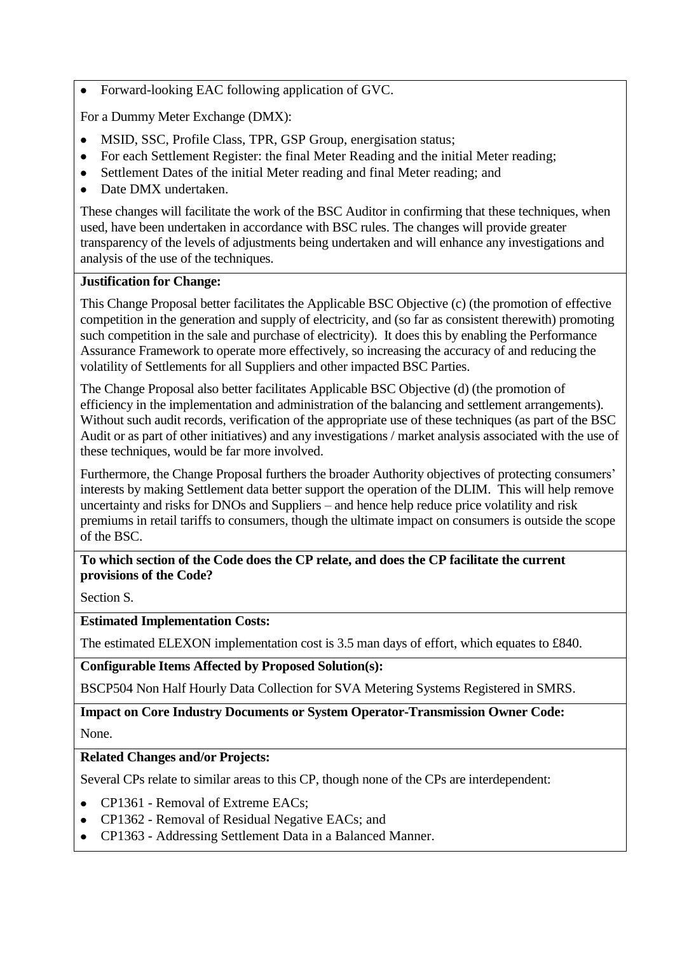Forward-looking EAC following application of GVC.  $\bullet$ 

For a Dummy Meter Exchange (DMX):

- MSID, SSC, Profile Class, TPR, GSP Group, energisation status;
- For each Settlement Register: the final Meter Reading and the initial Meter reading;
- Settlement Dates of the initial Meter reading and final Meter reading; and  $\bullet$
- Date DMX undertaken.

These changes will facilitate the work of the BSC Auditor in confirming that these techniques, when used, have been undertaken in accordance with BSC rules. The changes will provide greater transparency of the levels of adjustments being undertaken and will enhance any investigations and analysis of the use of the techniques.

#### **Justification for Change:**

This Change Proposal better facilitates the Applicable BSC Objective (c) (the promotion of effective competition in the generation and supply of electricity, and (so far as consistent therewith) promoting such competition in the sale and purchase of electricity). It does this by enabling the Performance Assurance Framework to operate more effectively, so increasing the accuracy of and reducing the volatility of Settlements for all Suppliers and other impacted BSC Parties.

The Change Proposal also better facilitates Applicable BSC Objective (d) (the promotion of efficiency in the implementation and administration of the balancing and settlement arrangements). Without such audit records, verification of the appropriate use of these techniques (as part of the BSC Audit or as part of other initiatives) and any investigations / market analysis associated with the use of these techniques, would be far more involved.

Furthermore, the Change Proposal furthers the broader Authority objectives of protecting consumers' interests by making Settlement data better support the operation of the DLIM. This will help remove uncertainty and risks for DNOs and Suppliers – and hence help reduce price volatility and risk premiums in retail tariffs to consumers, though the ultimate impact on consumers is outside the scope of the BSC.

# **To which section of the Code does the CP relate, and does the CP facilitate the current provisions of the Code?**

Section S*.*

**Estimated Implementation Costs:**

The estimated ELEXON implementation cost is 3.5 man days of effort, which equates to £840.

**Configurable Items Affected by Proposed Solution(s):**

BSCP504 Non Half Hourly Data Collection for SVA Metering Systems Registered in SMRS.

# **Impact on Core Industry Documents or System Operator-Transmission Owner Code:**

None.

# **Related Changes and/or Projects:**

Several CPs relate to similar areas to this CP, though none of the CPs are interdependent:

- CP1361 Removal of Extreme EACs;  $\bullet$
- CP1362 Removal of Residual Negative EACs; and  $\bullet$
- CP1363 Addressing Settlement Data in a Balanced Manner.